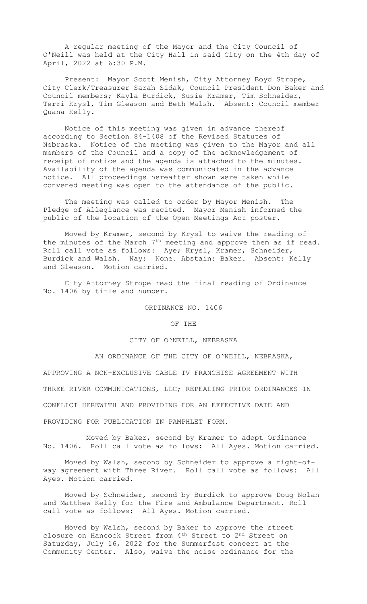A regular meeting of the Mayor and the City Council of O'Neill was held at the City Hall in said City on the 4th day of April, 2022 at 6:30 P.M.

Present: Mayor Scott Menish, City Attorney Boyd Strope, City Clerk/Treasurer Sarah Sidak, Council President Don Baker and Council members; Kayla Burdick, Susie Kramer, Tim Schneider, Terri Krysl, Tim Gleason and Beth Walsh. Absent: Council member Quana Kelly.

Notice of this meeting was given in advance thereof according to Section 84-1408 of the Revised Statutes of Nebraska. Notice of the meeting was given to the Mayor and all members of the Council and a copy of the acknowledgement of receipt of notice and the agenda is attached to the minutes. Availability of the agenda was communicated in the advance notice. All proceedings hereafter shown were taken while convened meeting was open to the attendance of the public.

The meeting was called to order by Mayor Menish. The Pledge of Allegiance was recited. Mayor Menish informed the public of the location of the Open Meetings Act poster.

Moved by Kramer, second by Krysl to waive the reading of the minutes of the March 7<sup>th</sup> meeting and approve them as if read. Roll call vote as follows: Aye; Krysl, Kramer, Schneider, Burdick and Walsh. Nay: None. Abstain: Baker. Absent: Kelly and Gleason. Motion carried.

City Attorney Strope read the final reading of Ordinance No. 1406 by title and number.

ORDINANCE NO. 1406

OF THE

## CITY OF O'NEILL, NEBRASKA

 AN ORDINANCE OF THE CITY OF O'NEILL, NEBRASKA, APPROVING A NON-EXCLUSIVE CABLE TV FRANCHISE AGREEMENT WITH THREE RIVER COMMUNICATIONS, LLC; REPEALING PRIOR ORDINANCES IN CONFLICT HEREWITH AND PROVIDING FOR AN EFFECTIVE DATE AND

PROVIDING FOR PUBLICATION IN PAMPHLET FORM.

Moved by Baker, second by Kramer to adopt Ordinance No. 1406. Roll call vote as follows: All Ayes. Motion carried.

Moved by Walsh, second by Schneider to approve a right-ofway agreement with Three River. Roll call vote as follows: All Ayes. Motion carried.

Moved by Schneider, second by Burdick to approve Doug Nolan and Matthew Kelly for the Fire and Ambulance Department. Roll call vote as follows: All Ayes. Motion carried.

Moved by Walsh, second by Baker to approve the street closure on Hancock Street from 4th Street to 2nd Street on Saturday, July 16, 2022 for the Summerfest concert at the Community Center. Also, waive the noise ordinance for the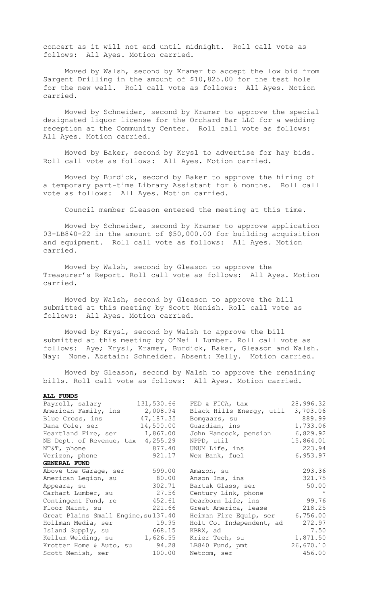concert as it will not end until midnight. Roll call vote as follows: All Ayes. Motion carried.

Moved by Walsh, second by Kramer to accept the low bid from Sargent Drilling in the amount of \$10,825.00 for the test hole for the new well. Roll call vote as follows: All Ayes. Motion carried.

Moved by Schneider, second by Kramer to approve the special designated liquor license for the Orchard Bar LLC for a wedding reception at the Community Center. Roll call vote as follows: All Ayes. Motion carried.

Moved by Baker, second by Krysl to advertise for hay bids. Roll call vote as follows: All Ayes. Motion carried.

Moved by Burdick, second by Baker to approve the hiring of a temporary part-time Library Assistant for 6 months. Roll call vote as follows: All Ayes. Motion carried.

Council member Gleason entered the meeting at this time.

Moved by Schneider, second by Kramer to approve application 03-LB840-22 in the amount of \$50,000.00 for building acquisition and equipment. Roll call vote as follows: All Ayes. Motion carried.

Moved by Walsh, second by Gleason to approve the Treasurer's Report. Roll call vote as follows: All Ayes. Motion carried.

Moved by Walsh, second by Gleason to approve the bill submitted at this meeting by Scott Menish. Roll call vote as follows: All Ayes. Motion carried.

Moved by Krysl, second by Walsh to approve the bill submitted at this meeting by O'Neill Lumber. Roll call vote as follows: Aye; Krysl, Kramer, Burdick, Baker, Gleason and Walsh. Nay: None. Abstain: Schneider. Absent: Kelly. Motion carried.

Moved by Gleason, second by Walsh to approve the remaining bills. Roll call vote as follows: All Ayes. Motion carried.

| Payroll, salary                     | 131,530.66 | FED & FICA, tax                   | 28,996.32 |
|-------------------------------------|------------|-----------------------------------|-----------|
| American Family, ins                | 2,008.94   | Black Hills Energy, util 3,703.06 |           |
| Blue Cross, ins 47,187.35           |            | Bomgaars, su                      | 889.99    |
| Dana Cole, ser 14,500.00            |            | Guardian, ins                     | 1,733.06  |
| Heartland Fire, ser 1,867.00        |            | John Hancock, pension             | 6,829.92  |
| NE Dept. of Revenue, tax 4,255.29   |            | NPPD, util                        | 15,864.01 |
| NT&T, phone                         | 877.40     | UNUM Life, ins                    | 223.94    |
| Verizon, phone                      | 921.17     | Wex Bank, fuel                    | 6,953.97  |
| <b>GENERAL FUND</b>                 |            |                                   |           |
| Above the Garage, ser               | 599.00     | Amazon, su                        | 293.36    |
| American Legion, su 80.00           |            | Anson Ins, ins                    | 321.75    |
| Appeara, su                         | 302.71     | Bartak Glass, ser                 | 50.00     |
| Carhart Lumber, su                  | 27.56      | Century Link, phone               | $\star$   |
| Contingent Fund, re 452.61          |            | Dearborn Life, ins                | 99.76     |
| Floor Maint, su                     | 221.66     | Great America, lease              | 218.25    |
| Great Plains Small Engine, su137.40 |            | Heiman Fire Equip, ser            | 6,756.00  |
| Hollman Media, ser                  | 19.95      | Holt Co. Independent, ad          | 272.97    |
| Island Supply, su 668.15            |            | KBRX, ad                          | 7.50      |
| Kellum Welding, su 1,626.55         |            | Krier Tech, su                    | 1,871.50  |
| Krotter Home & Auto, su 94.28       |            | LB840 Fund, pmt                   | 26,670.10 |
| Scott Menish, ser                   | 100.00     | Netcom, ser                       | 456.00    |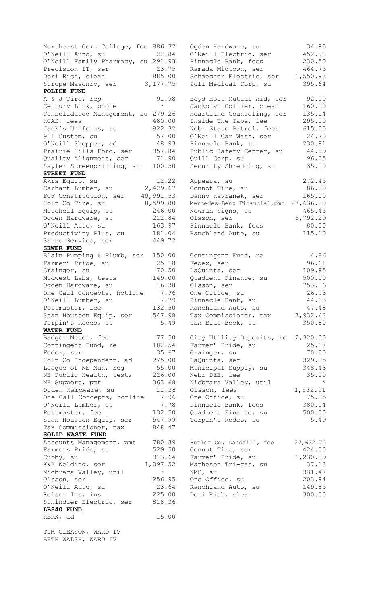Northeast Comm College, fee 886.32 O'Neill Auto, su  $22.84$ O'Neill Family Pharmacy, su 291.93 Strope Masonry, ser 3,177.75 **POLICE FUND**<br>A & J Tire, rep Consolidated Management, su 279.26 Sayler Screenprinting, su 100.50 **STREET FUND**  $H$ ort Construction,  $I =$ <br> $H$ olt Co Tire, su  $R$ ,599.80 Sanne Service, ser 149.72 **SEWER FUND** Blain Pumping & Plumb, ser  $150.00$ Farmer' Pride, su 25.18 O'Neill Lumber, su 1.79<br>Postmaster, fee 132.50 Stan Houston Equip, ser 547.98<br>Torpin's Rodeo, su 5,49 Torpin's Rodeo, su 3.49 **WATER FUND** Postmaster, fee 132.50 Quadient Finance, su 500.00 Tax Commissioner, tax 848.47 **SOLID WASTE FUND** visson, ser<br>O'Neill Auto, su<br>Reiser Ins, ins Schindler Electric, ser 818.36 **LB840 FUND** KBRX, ad 15.00

TIM GLEASON, WARD IV BETH WALSH, WARD IV

| Northeast Comm College, fee 886.32  |                     | Ogden Hardware, su                   | 34.95            |
|-------------------------------------|---------------------|--------------------------------------|------------------|
| O'Neill Auto, su                    | 22.84               | O'Neill Electric, ser                | 452.98           |
| O'Neill Family Pharmacy, su 291.93  |                     | Pinnacle Bank, fees                  | 230.50           |
| Precision IT, ser                   | 23.75               | Ramada Midtown, ser                  | 464.75           |
| Dori Rich, clean                    | 885.00              | Schaecher Electric, ser              | 1,550.93         |
| Strope Masonry, ser                 | 3, 177. 75          | Zoll Medical Corp, su                | 395.64           |
| POLICE FUND                         |                     |                                      |                  |
| A & J Tire, rep                     | 91.98               | Boyd Holt Mutual Aid, ser            | 92.00            |
| Century Link, phone                 | $\star$             | Jackolyn Collier, clean              | 160.00           |
| Consolidated Management, su 279.26  |                     | Heartland Counseling, ser            | 135.14           |
| HCAS, fees                          | 480.00              | Inside The Tape, fee                 | 295.00           |
| Jack's Uniforms, su                 | 822.32              | Nebr State Patrol, fees              | 615.00           |
| 911 Custom, su                      | 57.00               | O'Neill Car Wash, ser                | 24.70            |
| O'Neill Shopper, ad                 | 48.93               | Pinnacle Bank, su                    | 230.91           |
| Prairie Hills Ford, ser             | 357.84              | Public Safety Center, su             | 44.99            |
| Quality Alignment, ser              | 71.90               | Quill Corp, su                       | 96.35            |
| Sayler Screenprinting, su           | 100.50              | Security Shredding, su               | 35.00            |
| <b>STREET FUND</b>                  |                     |                                      |                  |
| Akrs Equip, su                      | 12.22               | Appeara, su                          | 272.45           |
| Carhart Lumber, su                  | 2,429.67            | Connot Tire, su                      | 86.00            |
| FCF Construction, ser               | 49,991.53           | Danny Havranek, ser                  | 165.00           |
| Holt Co Tire, su                    | 8,599.80            | Mercedes-Benz Financial, pmt         | 27,636.30        |
| Mitchell Equip, su                  | 246.00              | Newman Signs, su                     | 465.45           |
| Ogden Hardware, su                  | 212.84              | Olsson, ser                          | 5,792.29         |
| O'Neill Auto, su                    | 163.97              | Pinnacle Bank, fees                  | 80.00            |
| Productivity Plus, su               | 181.04              | Ranchland Auto, su                   | 115.10           |
| Sanne Service, ser                  | 449.72              |                                      |                  |
| <b>SEWER FUND</b>                   |                     |                                      |                  |
| Blain Pumping & Plumb, ser          | 150.00              | Contingent Fund, re                  | 4.86             |
| Farmer' Pride, su                   | 25.18               | Fedex, ser                           | 96.61            |
| Grainger, su                        | 70.50               | LaQuinta, ser                        | 109.95           |
| Midwest Labs, tests                 | 149.00              | Quadient Finance, su                 | 500.00           |
| Ogden Hardware, su                  | 16.38               | Olsson, ser                          | 753.16           |
| One Call Concepts, hotline          | 7.96                | One Office, su                       | 26.93            |
| O'Neill Lumber, su                  | 7.79                | Pinnacle Bank, su                    | 44.13            |
| Postmaster, fee                     | 132.50              | Ranchland Auto, su                   | 47.48            |
| Stan Houston Equip, ser             |                     | 547.98 Tax Commissioner, tax         | 3,932.62         |
| Torpin's Rodeo, su                  | 5.49                | USA Blue Book, su                    | 350.80           |
| <b>WATER FUND</b>                   |                     |                                      |                  |
| Badger Meter, fee                   | 77.50               | City Utility Deposits, re 2,320.00   |                  |
| Contingent Fund, re                 | 182.54              | Farmer' Pride, su                    | 25.17            |
| Fedex, ser                          | 35.67               | Grainger, su                         | 70.50            |
| Holt Co Independent, ad             | 275.00              | LaQuinta, ser                        | 329.85           |
| League of NE Mun, reg               | 55.00               | Municipal Supply, su                 | 348.43           |
| NE Public Health, tests             | 226.00              | Nebr DEE, fee                        | 35.00            |
| NE Support, pmt                     | 363.68              | Niobrara Valley, util                | $\star$          |
| Ogden Hardware, su                  | 11.38               | Olsson, fees                         | 1,532.91         |
| One Call Concepts, hotline          | 7.96                | One Office, su                       | 75.05            |
| O'Neill Lumber, su                  | 7.78                | Pinnacle Bank, fees                  | 380.04           |
| Postmaster, fee                     | 132.50              | Quadient Finance, su                 | 500.00           |
| Stan Houston Equip, ser             | 547.99              | Torpin's Rodeo, su                   | 5.49             |
| Tax Commissioner, tax               | 848.47              |                                      |                  |
| <b>SOLID WASTE FUND</b>             |                     |                                      |                  |
| Accounts Management, pmt            | 780.39              | Butler Co. Landfill, fee             | 27,632.75        |
| Farmers Pride, su                   | 529.50              | Connot Tire, ser                     | 424.00           |
| Cubby, su                           | 313.64              | Farmer' Pride, su                    | 1,230.39         |
| K&K Welding, ser                    | 1,097.52<br>$\star$ | Matheson Tri-gas, su                 | 37.13            |
| Niobrara Valley, util               |                     | NMC, su                              | 331.47           |
| Olsson, ser                         | 256.95<br>23.64     | One Office, su<br>Ranchland Auto, su | 203.94<br>149.85 |
| O'Neill Auto, su<br>Reiser Ins, ins | 225.00              | Dori Rich, clean                     | 300.00           |
|                                     |                     |                                      |                  |